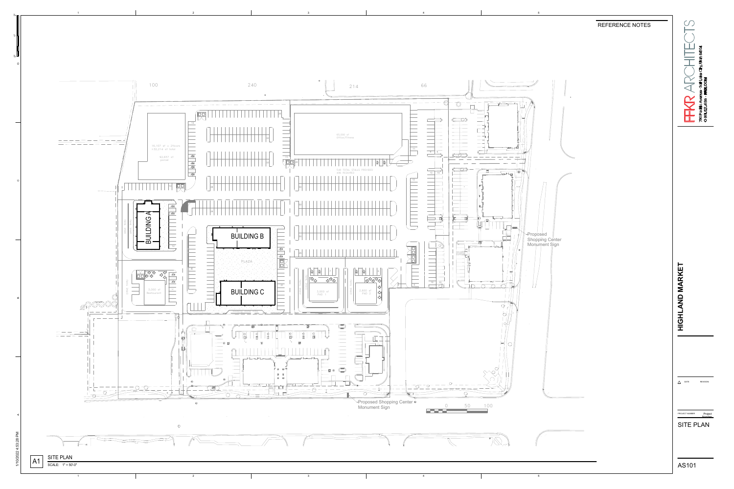

## REFERENCE NOTES



| <b>ARKF</b><br>$\frac{1}{2}$<br>Ľ                              |                 |
|----------------------------------------------------------------|-----------------|
|                                                                |                 |
| DATE                                                           | <b>REVISION</b> |
| Project<br>PROJECT NUMBER<br><b>Number</b><br><b>SITE PLAN</b> |                 |

AS101